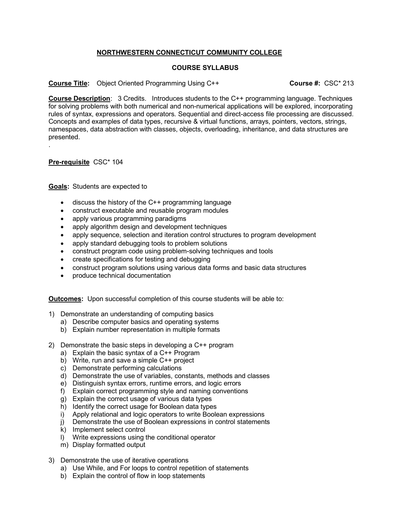## **NORTHWESTERN CONNECTICUT COMMUNITY COLLEGE**

## **COURSE SYLLABUS**

**Course Title:** Object Oriented Programming Using C++ **Course #:** CSC\* 213

**Course Description**: 3 Credits. Introduces students to the C++ programming language. Techniques for solving problems with both numerical and non-numerical applications will be explored, incorporating rules of syntax, expressions and operators. Sequential and direct-access file processing are discussed. Concepts and examples of data types, recursive & virtual functions, arrays, pointers, vectors, strings, namespaces, data abstraction with classes, objects, overloading, inheritance, and data structures are presented. .

**Pre-requisite** CSC\* 104

**Goals:** Students are expected to

- discuss the history of the C++ programming language
- construct executable and reusable program modules
- apply various programming paradigms
- apply algorithm design and development techniques
- apply sequence, selection and iteration control structures to program development
- apply standard debugging tools to problem solutions
- construct program code using problem-solving techniques and tools
- create specifications for testing and debugging
- construct program solutions using various data forms and basic data structures
- produce technical documentation

**Outcomes:** Upon successful completion of this course students will be able to:

- 1) Demonstrate an understanding of computing basics
	- a) Describe computer basics and operating systems
	- b) Explain number representation in multiple formats
- 2) Demonstrate the basic steps in developing a C++ program
	- a) Explain the basic syntax of a C++ Program
	- b) Write, run and save a simple C++ project
	- c) Demonstrate performing calculations
	- d) Demonstrate the use of variables, constants, methods and classes
	- e) Distinguish syntax errors, runtime errors, and logic errors
	- f) Explain correct programming style and naming conventions
	- g) Explain the correct usage of various data types
	- h) Identify the correct usage for Boolean data types
	- i) Apply relational and logic operators to write Boolean expressions
	- j) Demonstrate the use of Boolean expressions in control statements
	- k) Implement select control
	- l) Write expressions using the conditional operator
	- m) Display formatted output
- 3) Demonstrate the use of iterative operations
	- a) Use While, and For loops to control repetition of statements
	- b) Explain the control of flow in loop statements